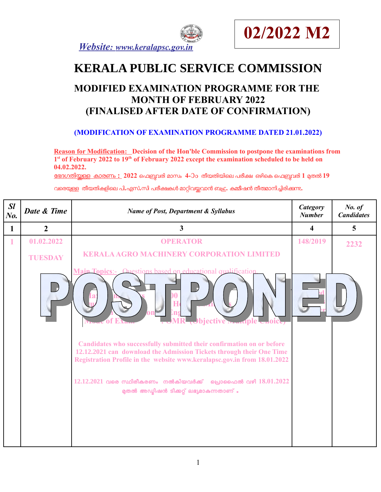



# **KERALA PUBLIC SERVICE COMMISSION**

## **MODIFIED EXAMINATION PROGRAMME FOR THE MONTH OF FEBRUARY 2022 (FINALISED AFTER DATE OF CONFIRMATION)**

#### **(MODIFICATION OF EXAMINATION PROGRAMME DATED 21.01.2022)**

**Reason for Modification: Decision of the Hon'ble Commission to postpone the examinations from 1 st of February 2022 to 19th of February 2022 except the examination scheduled to be held on 04.02.2022.** 

േഭദഗതി യള കാരണം **: 2022** െഫബവരി മാസം **4-**ാാ ം തീ യതി യി െല പരീ ക ഒഴി െക െഫബവരി **1** മതൽ **<sup>19</sup>**

വരെയ്യള്ള തീയതികളിലെ പി**.**എസ്**.സി പരീക്ഷകൾ മാറ്റിവയ്യവാൻ ബഹ്മ. കമ്മീ**ഷൻ തീത്മാനിച്ചിരിക്കുന്നു.

| SI<br>No.    | Date & Time    | <b>Name of Post, Department &amp; Syllabus</b>                                                                                                                                                                                                                                                                                                                                                                                       | <b>Category</b><br><b>Number</b> | No. of<br><b>Candidates</b> |
|--------------|----------------|--------------------------------------------------------------------------------------------------------------------------------------------------------------------------------------------------------------------------------------------------------------------------------------------------------------------------------------------------------------------------------------------------------------------------------------|----------------------------------|-----------------------------|
| $\mathbf{1}$ | $\overline{2}$ | $\overline{\mathbf{3}}$                                                                                                                                                                                                                                                                                                                                                                                                              | $\overline{\mathbf{4}}$          | $\overline{5}$              |
|              | 01.02.2022     | <b>OPERATOR</b>                                                                                                                                                                                                                                                                                                                                                                                                                      | 148/2019                         | 2232                        |
|              | <b>TUESDAY</b> | <b>KERALA AGRO MACHINERY CORPORATION LIMITED</b>                                                                                                                                                                                                                                                                                                                                                                                     |                                  |                             |
|              |                | Main Topics:- Questions based on educational qualification<br><b>Objective martiple</b><br>Candidates who successfully submitted their confirmation on or before<br>12.12.2021 can download the Admission Tickets through their One Time<br>Registration Profile in the website www.keralapsc.gov.in from 18.01.2022<br>$12.12.2021$ വരെ സ്ഥിരീകരണം നൽകിയവർക്ക് പ്രൊഫൈൽ വഴി $18.01.2022$<br>മുതൽ അഡ്മിഷൻ ടിക്കറ്റ് ലഭ്യമാകുന്നതാണ് . |                                  |                             |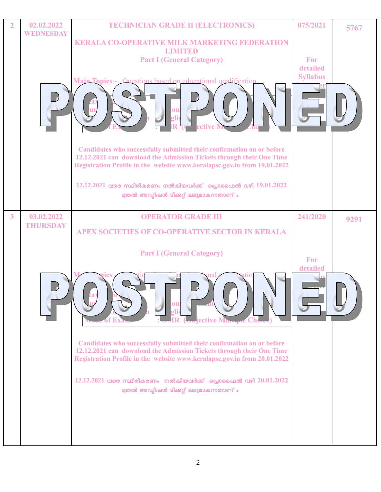| $\overline{2}$ | 02.02.2022<br><b>WEDNESDAY</b> | <b>TECHNICIAN GRADE II (ELECTRONICS)</b>                                                                                                                                                                                                                                                                                                  | 075/2021                           | 5767 |
|----------------|--------------------------------|-------------------------------------------------------------------------------------------------------------------------------------------------------------------------------------------------------------------------------------------------------------------------------------------------------------------------------------------|------------------------------------|------|
|                |                                | <b>KERALA CO-OPERATIVE MILK MARKETING FEDERATION</b><br><b>LIMITED</b><br><b>Part I (General Category)</b><br><b>Main Topics:</b> Ouestions hased on educational qualification<br>ou                                                                                                                                                      | For<br>detailed<br><b>Syllabus</b> |      |
|                |                                | Candidates who successfully submitted their confirmation on or before<br>12.12.2021 can download the Admission Tickets through their One Time<br>Registration Profile in the website www.keralapsc.gov.in from 19.01.2022<br>$12.12.2021$ വരെ സ്ഥിരീകരണം നൽകിയവർക്ക് പ്രൊഫൈൽ വഴി $19.01.2022$<br>മുതൽ അഡ്യിഷൻ ടിക്കറ്റ് ലഭ്യമാകുന്നതാണ് . |                                    |      |
| $\overline{3}$ | 03.02.2022                     | <b>OPERATOR GRADE III</b>                                                                                                                                                                                                                                                                                                                 | 241/2020                           | 9291 |
|                | <b>THURSDAY</b>                | APEX SOCIETIES OF CO-OPERATIVE SECTOR IN KERALA                                                                                                                                                                                                                                                                                           |                                    |      |
|                |                                | <b>Part I (General Category)</b>                                                                                                                                                                                                                                                                                                          | For                                |      |
|                |                                | ou<br><b>Cojective Munique C</b>                                                                                                                                                                                                                                                                                                          | detailed                           |      |
|                |                                | Candidates who successfully submitted their confirmation on or before<br>12.12.2021 can download the Admission Tickets through their One Time<br>Registration Profile in the website www.keralapsc.gov.in from 20.01.2022                                                                                                                 |                                    |      |
|                |                                | $12.12.2021$ വരെ സ്ഥിരീകരണം നൽകിയവർക്ക് പ്രൊഫൈൽ വഴി $20.01.2022$<br>മുതൽ അഡ്മിഷൻ ടിക്കറ്റ് ലഭ്യമാകുന്നതാണ് .                                                                                                                                                                                                                              |                                    |      |
|                |                                |                                                                                                                                                                                                                                                                                                                                           |                                    |      |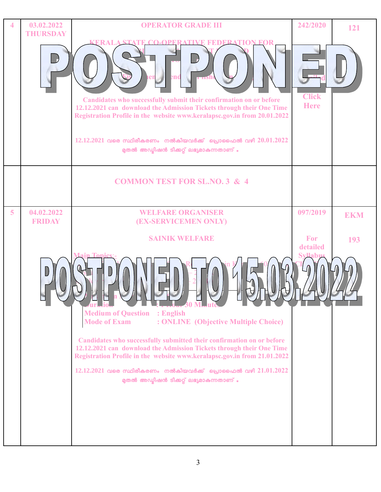| 4              | 03.02.2022<br><b>THURSDAY</b> | <b>OPERATOR GRADE III</b><br><b>KERALA STAT</b><br><b>EDERATION FOR</b><br>end<br><b>TIN</b><br>Candidates who successfully submit their confirmation on or before<br>12.12.2021 can download the Admission Tickets through their One Time                                                                                                                                                                                                                                                                                                            | 242/2020<br><b>Click</b><br><b>Here</b>              | 121               |
|----------------|-------------------------------|-------------------------------------------------------------------------------------------------------------------------------------------------------------------------------------------------------------------------------------------------------------------------------------------------------------------------------------------------------------------------------------------------------------------------------------------------------------------------------------------------------------------------------------------------------|------------------------------------------------------|-------------------|
|                |                               | Registration Profile in the website www.keralapsc.gov.in from 20.01.2022<br>$12.12.2021$ വരെ സ്ഥിരീകരണം നൽകിയവർക്ക് പ്രൊഫൈൽ വഴി $20.01.2022$<br>മുതൽ അഡ്ലിഷൻ ടിക്കറ്റ് ലഭ്യമാകുന്നതാണ് .                                                                                                                                                                                                                                                                                                                                                              |                                                      |                   |
|                |                               | <b>COMMON TEST FOR SL.NO. 3 &amp; 4</b>                                                                                                                                                                                                                                                                                                                                                                                                                                                                                                               |                                                      |                   |
| $\overline{5}$ | 04.02.2022<br><b>FRIDAY</b>   | <b>WELFARE ORGANISER</b><br>(EX-SERVICEMEN ONLY)<br><b>SAINIK WELFARE</b><br><b>Flash 30 Minut</b><br><b>Medium of Question : English</b><br><b>Mode of Exam</b><br>: ONLINE (Objective Multiple Choice)<br>Candidates who successfully submitted their confirmation on or before<br>12.12.2021 can download the Admission Tickets through their One Time<br>Registration Profile in the website www.keralapsc.gov.in from 21.01.2022<br>$12.12.2021$ വരെ സ്ഥിരീകരണം നൽകിയവർക്ക് പ്രൊഫൈൽ വഴി $21.01.2022$<br>മുതൽ അഡ്യിഷൻ ടിക്കറ്റ് ലഭ്യമാകുന്നതാണ് . | 097/2019<br><b>For</b><br>detailed<br><b>Svllabu</b> | <b>EKM</b><br>193 |
|                |                               |                                                                                                                                                                                                                                                                                                                                                                                                                                                                                                                                                       |                                                      |                   |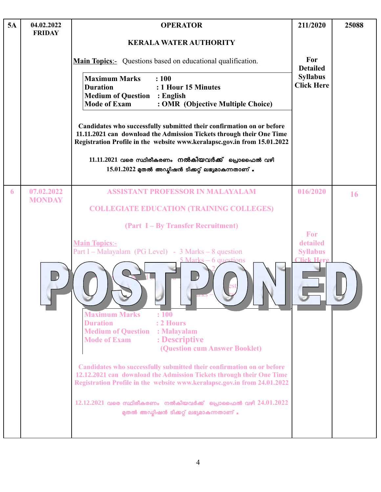| 5A | 04.02.2022<br><b>FRIDAY</b> | <b>OPERATOR</b>                                                                                                                                                                                                           | 211/2020                             | 25088 |
|----|-----------------------------|---------------------------------------------------------------------------------------------------------------------------------------------------------------------------------------------------------------------------|--------------------------------------|-------|
|    |                             | <b>KERALA WATER AUTHORITY</b>                                                                                                                                                                                             |                                      |       |
|    |                             | <b>Main Topics:</b> Questions based on educational qualification.                                                                                                                                                         | For<br><b>Detailed</b>               |       |
|    |                             | <b>Maximum Marks</b><br>: 100<br>: 1 Hour 15 Minutes<br><b>Duration</b><br><b>Medium of Question : English</b><br><b>Mode of Exam</b><br>: OMR (Objective Multiple Choice)                                                | <b>Syllabus</b><br><b>Click Here</b> |       |
|    |                             | Candidates who successfully submitted their confirmation on or before<br>11.11.2021 can download the Admission Tickets through their One Time<br>Registration Profile in the website www.keralapsc.gov.in from 15.01.2022 |                                      |       |
|    |                             | $11.11.2021$ വരെ സ്ഥിരീകരണം നൽകിയവർക്ക് പ്രൊഫൈൽ വഴി<br>$15.01.2022$ മുതൽ അഡ്മിഷൻ ടിക്കറ്റ് ലഭ്യമാകുന്നതാണ് .                                                                                                              |                                      |       |
| 6  | 07.02.2022<br><b>MONDAY</b> | <b>ASSISTANT PROFESSOR IN MALAYALAM</b>                                                                                                                                                                                   | 016/2020                             | 16    |
|    |                             | <b>COLLEGIATE EDUCATION (TRAINING COLLEGES)</b>                                                                                                                                                                           |                                      |       |
|    |                             | (Part I – By Transfer Recruitment)                                                                                                                                                                                        | For                                  |       |
|    |                             | <b>Main Topics:-</b><br>Part I – Malayalam (PG Level) - $3$ Marks – $8$ question                                                                                                                                          | detailed<br><b>Syllabus</b>          |       |
|    |                             | Marks – 6 questions<br><b>Maximum Marks</b><br>: 100<br>: 2 Hours<br><b>Duration</b>                                                                                                                                      | Tick Here                            |       |
|    |                             | <b>Medium of Question : Malayalam</b><br>: Descriptive<br><b>Mode of Exam</b><br>(Question cum Answer Booklet)                                                                                                            |                                      |       |
|    |                             | Candidates who successfully submitted their confirmation on or before<br>12.12.2021 can download the Admission Tickets through their One Time<br>Registration Profile in the website www.keralapsc.gov.in from 24.01.2022 |                                      |       |
|    |                             | $12.12.2021$ വരെ സ്ഥിരീകരണം നൽകിയവർക്ക് പ്രൊഫൈൽ വഴി $24.01.2022$<br>മുതൽ അഡ്മിഷൻ ടിക്കറ്റ് ലഭ്യമാകുന്നതാണ് .                                                                                                              |                                      |       |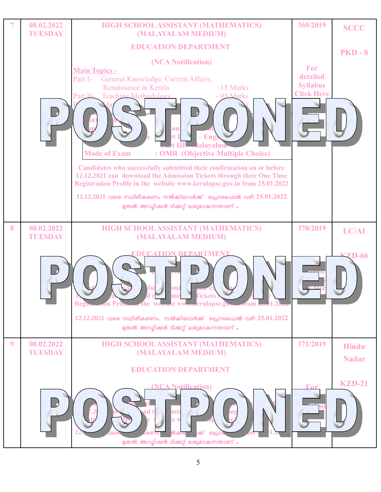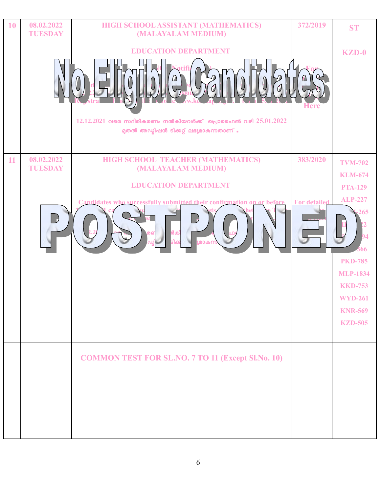| 10 | 08.02.2022<br><b>TUESDAY</b> | HIGH SCHOOL ASSISTANT (MATHEMATICS)<br>(MALAYALAM MEDIUM)                                                    | 372/2019            | <b>ST</b>                         |
|----|------------------------------|--------------------------------------------------------------------------------------------------------------|---------------------|-----------------------------------|
|    |                              | <b>EDUCATION DEPARTMENT</b>                                                                                  |                     | $KZD-0$                           |
|    |                              | $\Omega$                                                                                                     | Here                |                                   |
|    |                              | $12.12.2021$ വരെ സ്ഥിരീകരണം നൽകിയവർക്ക് പ്രൊഫൈൽ വഴി $25.01.2022$<br>മുതൽ അഡ്മിഷൻ ടിക്കറ്റ് ലഭ്യമാകുന്നതാണ് . |                     |                                   |
| 11 | 08.02.2022<br><b>TUESDAY</b> | HIGH SCHOOL TEACHER (MATHEMATICS)<br>(MALAYALAM MEDIUM)                                                      | 383/2020            | <b>TVM-702</b>                    |
|    |                              | <b>EDUCATION DEPARTMENT</b>                                                                                  |                     | <b>KLM-674</b><br><b>PTA-129</b>  |
|    |                              | Candidates who successfully submitted their confirmation on or before                                        | <b>For detailed</b> | <b>ALP-227</b>                    |
|    |                              | ർക്<br>മാകന                                                                                                  |                     | 265<br>94<br>566                  |
|    |                              |                                                                                                              |                     | <b>PKD-785</b><br><b>MLP-1834</b> |
|    |                              |                                                                                                              |                     | <b>KKD-753</b>                    |
|    |                              |                                                                                                              |                     | <b>WYD-261</b>                    |
|    |                              |                                                                                                              |                     | <b>KNR-569</b>                    |
|    |                              |                                                                                                              |                     | <b>KZD-505</b>                    |
|    |                              | <b>COMMON TEST FOR SL.NO. 7 TO 11 (Except Sl.No. 10)</b>                                                     |                     |                                   |
|    |                              |                                                                                                              |                     |                                   |
|    |                              |                                                                                                              |                     |                                   |
|    |                              |                                                                                                              |                     |                                   |
|    |                              |                                                                                                              |                     |                                   |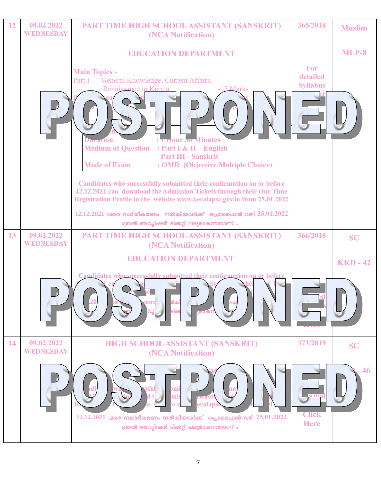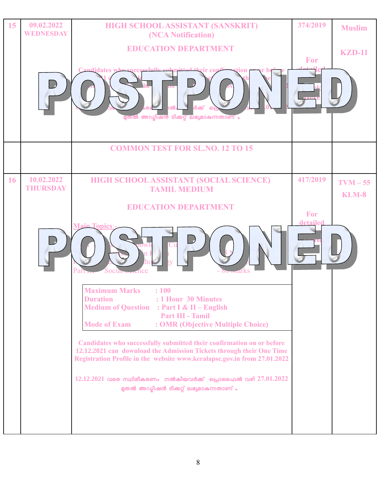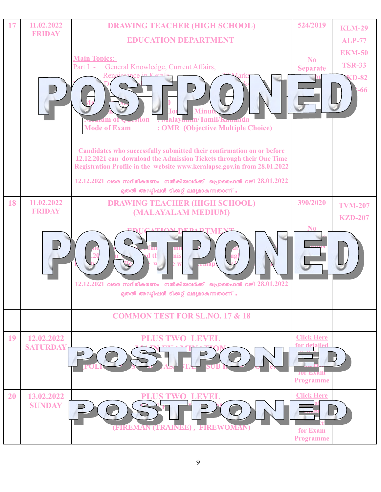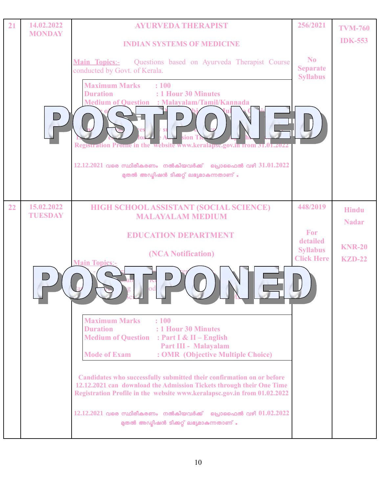| 21 | 14.02.2022<br><b>MONDAY</b>  | <b>AYURVEDA THERAPIST</b>                                                                                                                                                                                                 | 256/2021                                             | <b>TVM-760</b>               |
|----|------------------------------|---------------------------------------------------------------------------------------------------------------------------------------------------------------------------------------------------------------------------|------------------------------------------------------|------------------------------|
|    |                              | <b>INDIAN SYSTEMS OF MEDICINE</b>                                                                                                                                                                                         |                                                      | <b>IDK-553</b>               |
|    |                              | Questions based on Ayurveda Therapist Course<br><b>Main Topics:-</b><br>conducted by Govt. of Kerala.<br><b>Maximum Marks</b><br>: 100                                                                                    | N <sub>0</sub><br><b>Separate</b><br><b>Syllabus</b> |                              |
|    |                              | <b>Duration</b><br>: 1 Hour 30 Minutes<br><b>Medium of Question : Malayalam/Tamil/Kannada</b><br>sion<br>Registration Prome in the website www.keralapsc.gov.in from 31.01.2022                                           |                                                      |                              |
|    |                              | $12.12.2021$ വരെ സ്ഥിരീകരണം നൽകിയവർക്ക് പ്രൊഫൈൽ വഴി $31.01.2022$<br>മുതൽ അഡ്യിഷൻ ടിക്കറ്റ് ലഭ്യമാകുന്നതാണ് .                                                                                                              |                                                      |                              |
| 22 | 15.02.2022<br><b>TUESDAY</b> | <b>HIGH SCHOOL ASSISTANT (SOCIAL SCIENCE)</b><br><b>MALAYALAM MEDIUM</b>                                                                                                                                                  | 448/2019                                             | <b>Hindu</b><br><b>Nadar</b> |
|    |                              | <b>EDUCATION DEPARTMENT</b>                                                                                                                                                                                               | For<br>detailed                                      |                              |
|    |                              | (NCA Notification)<br><b>Main Topics:-</b>                                                                                                                                                                                | <b>Syllabus</b><br><b>Click Here</b>                 | <b>KNR-20</b><br>$KZD-22$    |
|    |                              | $c \mathbf{L}$<br><u> Herry</u>                                                                                                                                                                                           |                                                      |                              |
|    |                              | <b>Maximum Marks</b><br>: 100<br><b>Duration</b><br>: 1 Hour 30 Minutes<br><b>Medium of Question : Part I &amp; II - English</b><br>Part III - Malayalam                                                                  |                                                      |                              |
|    |                              | : OMR (Objective Multiple Choice)<br><b>Mode of Exam</b>                                                                                                                                                                  |                                                      |                              |
|    |                              | Candidates who successfully submitted their confirmation on or before<br>12.12.2021 can download the Admission Tickets through their One Time<br>Registration Profile in the website www.keralapsc.gov.in from 01.02.2022 |                                                      |                              |
|    |                              | $12.12.2021$ വരെ സ്ഥിരീകരണം നൽകിയവർക്ക് പ്രൊഫൈൽ വഴി $01.02.2022$<br>മുതൽ അഡ്യിഷൻ ടിക്കറ്റ് ലഭ്യമാകുന്നതാണ് .                                                                                                              |                                                      |                              |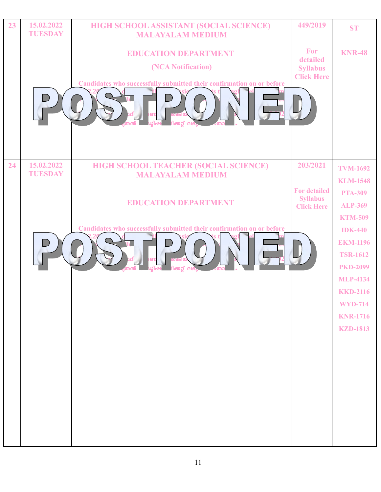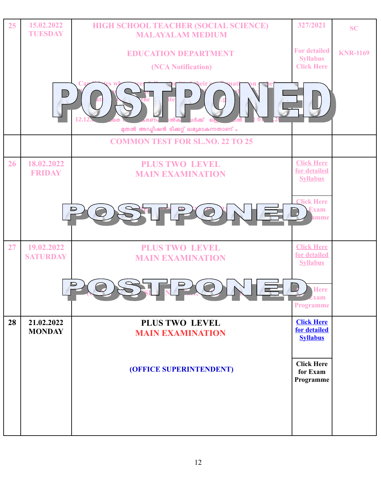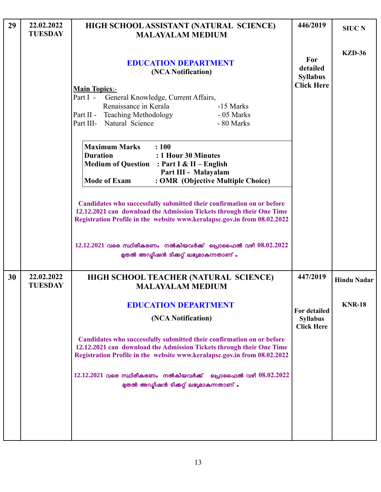| 29 | 22.02.2022<br><b>TUESDAY</b> | HIGH SCHOOL ASSISTANT (NATURAL SCIENCE)<br><b>MALAYALAM MEDIUM</b>                                                                                                                                                        | 446/2019                                                    | <b>SIUC N</b>      |
|----|------------------------------|---------------------------------------------------------------------------------------------------------------------------------------------------------------------------------------------------------------------------|-------------------------------------------------------------|--------------------|
|    |                              | <b>EDUCATION DEPARTMENT</b><br>(NCA Notification)<br><b>Main Topics:-</b><br>Part I -<br>General Knowledge, Current Affairs,                                                                                              | For<br>detailed<br><b>Syllabus</b><br><b>Click Here</b>     | <b>KZD-36</b>      |
|    |                              | Renaissance in Kerala<br>-15 Marks<br>- 05 Marks<br>Part II - Teaching Methodology<br>Part III- Natural Science<br>- 80 Marks                                                                                             |                                                             |                    |
|    |                              | <b>Maximum Marks</b><br>: 100<br><b>Duration</b><br>: 1 Hour 30 Minutes<br><b>Medium of Question</b> : Part I & II - English<br>Part III - Malayalam<br><b>Mode of Exam</b><br>: OMR (Objective Multiple Choice)          |                                                             |                    |
|    |                              | Candidates who successfully submitted their confirmation on or before<br>12.12.2021 can download the Admission Tickets through their One Time<br>Registration Profile in the website www.keralapsc.gov.in from 08.02.2022 |                                                             |                    |
|    |                              | $12.12.2021$ വരെ സ്ഥിരീകരണം നൽകിയവർക്ക് പ്രൊഫൈൽ വഴി $08.02.2022$<br>മുതൽ അഡ്യിഷൻ ടിക്കറ്റ് ലഭ്യമാകുന്നതാണ് .                                                                                                              |                                                             |                    |
| 30 | 22.02.2022<br><b>TUESDAY</b> | HIGH SCHOOL TEACHER (NATURAL SCIENCE)<br><b>MALAYALAM MEDIUM</b>                                                                                                                                                          | 447/2019                                                    | <b>Hindu Nadar</b> |
|    |                              | <b>EDUCATION DEPARTMENT</b>                                                                                                                                                                                               |                                                             | <b>KNR-18</b>      |
|    |                              | (NCA Notification)                                                                                                                                                                                                        | <b>For detailed</b><br><b>Syllabus</b><br><b>Click Here</b> |                    |
|    |                              | Candidates who successfully submitted their confirmation on or before<br>12.12.2021 can download the Admission Tickets through their One Time<br>Registration Profile in the website www.keralapsc.gov.in from 08.02.2022 |                                                             |                    |
|    |                              | $12.12.2021$ വരെ സ്ഥിരീകരണം നൽകിയവർക്ക് പ്രൊഫൈൽ വഴി $08.02.2022$<br>മുതൽ അഡ്യിഷൻ ടിക്കറ്റ് ലഭ്യമാകുന്നതാണ് .                                                                                                              |                                                             |                    |
|    |                              |                                                                                                                                                                                                                           |                                                             |                    |

L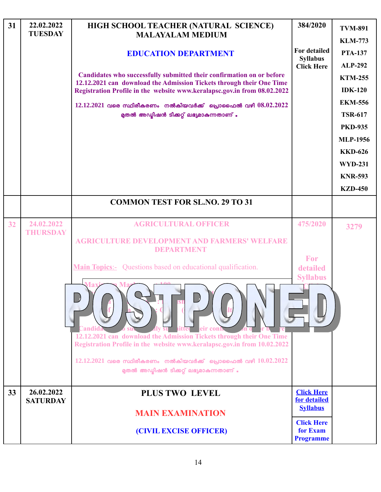| 31 | 22.02.2022<br><b>TUESDAY</b>  | HIGH SCHOOL TEACHER (NATURAL SCIENCE)<br><b>MALAYALAM MEDIUM</b>                                                                                 | 384/2020                             | <b>TVM-891</b><br><b>KLM-773</b>  |
|----|-------------------------------|--------------------------------------------------------------------------------------------------------------------------------------------------|--------------------------------------|-----------------------------------|
|    |                               | <b>EDUCATION DEPARTMENT</b>                                                                                                                      | For detailed                         | <b>PTA-137</b>                    |
|    |                               |                                                                                                                                                  | <b>Syllabus</b><br><b>Click Here</b> | <b>ALP-292</b>                    |
|    |                               | Candidates who successfully submitted their confirmation on or before<br>12.12.2021 can download the Admission Tickets through their One Time    |                                      | <b>KTM-255</b>                    |
|    |                               | Registration Profile in the website www.keralapsc.gov.in from 08.02.2022                                                                         |                                      | <b>IDK-120</b>                    |
|    |                               | $12.12.2021$ വരെ സ്ഥിരീകരണം നൽകിയവർക്ക് പ്രൊഫൈൽ വഴി $08.02.2022$                                                                                 |                                      | <b>EKM-556</b>                    |
|    |                               | മുതൽ അഡ്മിഷൻ ടിക്കറ്റ് ലഭ്യമാകുന്നതാണ് .                                                                                                         |                                      | <b>TSR-617</b>                    |
|    |                               |                                                                                                                                                  |                                      | <b>PKD-935</b><br><b>MLP-1956</b> |
|    |                               |                                                                                                                                                  |                                      | <b>KKD-626</b>                    |
|    |                               |                                                                                                                                                  |                                      | <b>WYD-231</b>                    |
|    |                               |                                                                                                                                                  |                                      | <b>KNR-593</b>                    |
|    |                               |                                                                                                                                                  |                                      | <b>KZD-450</b>                    |
|    |                               | <b>COMMON TEST FOR SL.NO. 29 TO 31</b>                                                                                                           |                                      |                                   |
|    |                               |                                                                                                                                                  |                                      |                                   |
| 32 | 24.02.2022<br><b>THURSDAY</b> | <b>AGRICULTURAL OFFICER</b>                                                                                                                      | 475/2020                             | 3279                              |
|    |                               | <b>AGRICULTURE DEVELOPMENT AND FARMERS' WELFARE</b><br>DEPARTMENT                                                                                |                                      |                                   |
|    |                               | <b>Main Topics:-</b> Questions based on educational qualification.                                                                               | For<br>detailed<br><b>Syllabus</b>   |                                   |
|    |                               |                                                                                                                                                  |                                      |                                   |
|    |                               | 12.12.2021 can download the Admission Tickets through their One Time<br>Registration Profile in the website www.keralapsc.gov.in from 10.02.2022 |                                      |                                   |
|    |                               | $12.12.2021$ വരെ സ്ഥിരീകരണം നൽകിയവർക്ക് പ്രൊഫൈൽ വഴി $10.02.2022$<br>മുതൽ അഡ്മിഷൻ ടിക്കറ്റ് ലഭ്യമാകുന്നതാണ് .                                     |                                      |                                   |
| 33 | 26.02.2022                    | <b>PLUS TWO LEVEL</b>                                                                                                                            | <b>Click Here</b>                    |                                   |
|    | <b>SATURDAY</b>               |                                                                                                                                                  | for detailed<br><b>Syllabus</b>      |                                   |
|    |                               | <b>MAIN EXAMINATION</b><br>(CIVIL EXCISE OFFICER)                                                                                                | <b>Click Here</b><br>for Exam        |                                   |